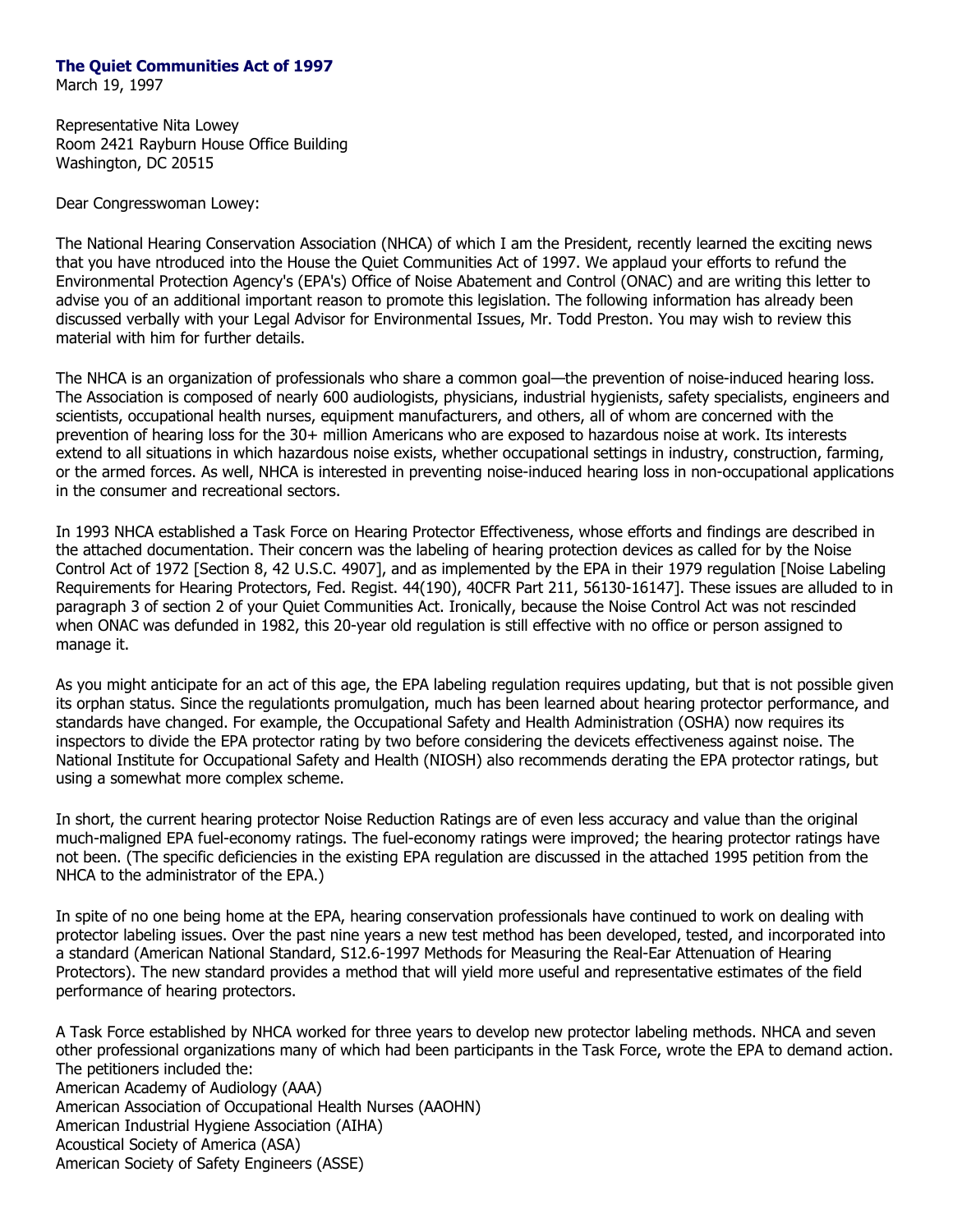## **The Quiet Communities Act of 1997**

March 19, 1997

Representative Nita Lowey Room 2421 Rayburn House Office Building Washington, DC 20515

Dear Congresswoman Lowey:

The National Hearing Conservation Association (NHCA) of which I am the President, recently learned the exciting news that you have ntroduced into the House the Quiet Communities Act of 1997. We applaud your efforts to refund the Environmental Protection Agency's (EPA's) Office of Noise Abatement and Control (ONAC) and are writing this letter to advise you of an additional important reason to promote this legislation. The following information has already been discussed verbally with your Legal Advisor for Environmental Issues, Mr. Todd Preston. You may wish to review this material with him for further details.

The NHCA is an organization of professionals who share a common goal—the prevention of noise-induced hearing loss. The Association is composed of nearly 600 audiologists, physicians, industrial hygienists, safety specialists, engineers and scientists, occupational health nurses, equipment manufacturers, and others, all of whom are concerned with the prevention of hearing loss for the 30+ million Americans who are exposed to hazardous noise at work. Its interests extend to all situations in which hazardous noise exists, whether occupational settings in industry, construction, farming, or the armed forces. As well, NHCA is interested in preventing noise-induced hearing loss in non-occupational applications in the consumer and recreational sectors.

In 1993 NHCA established a Task Force on Hearing Protector Effectiveness, whose efforts and findings are described in the attached documentation. Their concern was the labeling of hearing protection devices as called for by the Noise Control Act of 1972 [Section 8, 42 U.S.C. 4907], and as implemented by the EPA in their 1979 regulation [Noise Labeling Requirements for Hearing Protectors, Fed. Regist. 44(190), 40CFR Part 211, 56130-16147]. These issues are alluded to in paragraph 3 of section 2 of your Quiet Communities Act. Ironically, because the Noise Control Act was not rescinded when ONAC was defunded in 1982, this 20-year old regulation is still effective with no office or person assigned to manage it.

As you might anticipate for an act of this age, the EPA labeling regulation requires updating, but that is not possible given its orphan status. Since the regulationts promulgation, much has been learned about hearing protector performance, and standards have changed. For example, the Occupational Safety and Health Administration (OSHA) now requires its inspectors to divide the EPA protector rating by two before considering the devicets effectiveness against noise. The National Institute for Occupational Safety and Health (NIOSH) also recommends derating the EPA protector ratings, but using a somewhat more complex scheme.

In short, the current hearing protector Noise Reduction Ratings are of even less accuracy and value than the original much-maligned EPA fuel-economy ratings. The fuel-economy ratings were improved; the hearing protector ratings have not been. (The specific deficiencies in the existing EPA regulation are discussed in the attached 1995 petition from the NHCA to the administrator of the EPA.)

In spite of no one being home at the EPA, hearing conservation professionals have continued to work on dealing with protector labeling issues. Over the past nine years a new test method has been developed, tested, and incorporated into a standard (American National Standard, S12.6-1997 Methods for Measuring the Real-Ear Attenuation of Hearing Protectors). The new standard provides a method that will yield more useful and representative estimates of the field performance of hearing protectors.

A Task Force established by NHCA worked for three years to develop new protector labeling methods. NHCA and seven other professional organizations many of which had been participants in the Task Force, wrote the EPA to demand action. The petitioners included the: American Academy of Audiology (AAA) American Association of Occupational Health Nurses (AAOHN) American Industrial Hygiene Association (AIHA) Acoustical Society of America (ASA) American Society of Safety Engineers (ASSE)